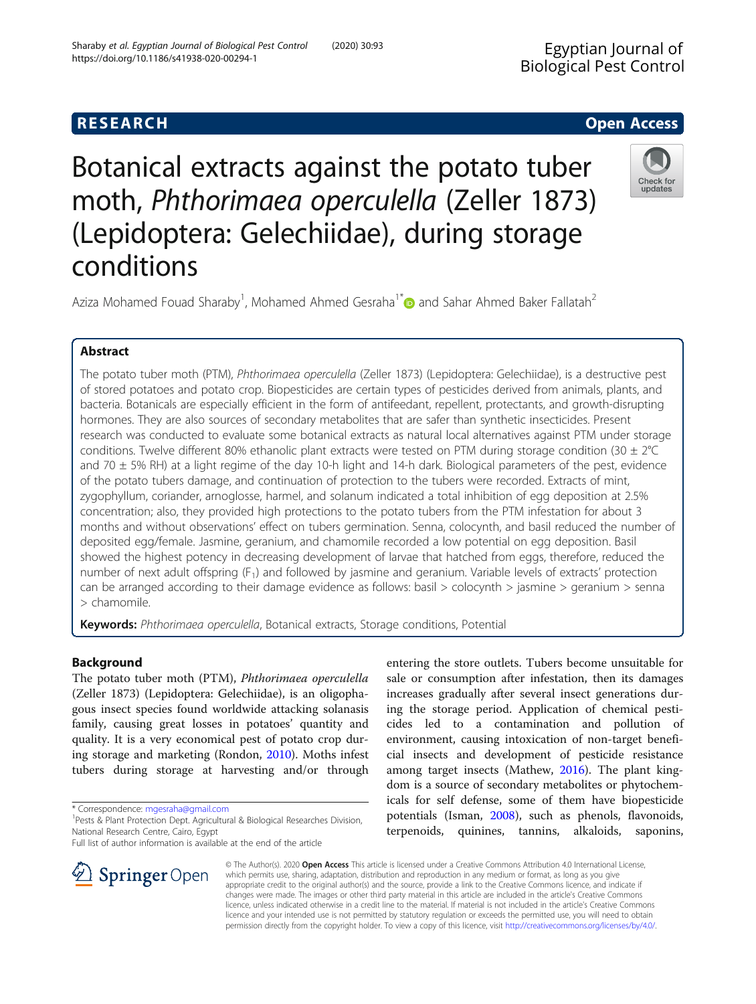https://doi.org/10.1186/s41938-020-00294-1

Sharaby et al. Egyptian Journal of Biological Pest Control (2020) 30:93

# Botanical extracts against the potato tuber moth, Phthorimaea operculella (Zeller 1873) (Lepidoptera: Gelechiidae), during storage conditions



Aziza Mohamed Fouad Sharaby<sup>1</sup>, Mohamed Ahmed Gesraha<sup>1[\\*](http://orcid.org/0000-0002-8928-3144)</sup> and Sahar Ahmed Baker Fallatah<sup>2</sup>

# Abstract

The potato tuber moth (PTM), Phthorimaea operculella (Zeller 1873) (Lepidoptera: Gelechiidae), is a destructive pest of stored potatoes and potato crop. Biopesticides are certain types of pesticides derived from animals, plants, and bacteria. Botanicals are especially efficient in the form of antifeedant, repellent, protectants, and growth-disrupting hormones. They are also sources of secondary metabolites that are safer than synthetic insecticides. Present research was conducted to evaluate some botanical extracts as natural local alternatives against PTM under storage conditions. Twelve different 80% ethanolic plant extracts were tested on PTM during storage condition (30 ± 2°C and 70  $\pm$  5% RH) at a light regime of the day 10-h light and 14-h dark. Biological parameters of the pest, evidence of the potato tubers damage, and continuation of protection to the tubers were recorded. Extracts of mint, zygophyllum, coriander, arnoglosse, harmel, and solanum indicated a total inhibition of egg deposition at 2.5% concentration; also, they provided high protections to the potato tubers from the PTM infestation for about 3 months and without observations' effect on tubers germination. Senna, colocynth, and basil reduced the number of deposited egg/female. Jasmine, geranium, and chamomile recorded a low potential on egg deposition. Basil showed the highest potency in decreasing development of larvae that hatched from eggs, therefore, reduced the number of next adult offspring  $(F_1)$  and followed by jasmine and geranium. Variable levels of extracts' protection can be arranged according to their damage evidence as follows: basil > colocynth > jasmine > geranium > senna > chamomile.

Keywords: Phthorimaea operculella, Botanical extracts, Storage conditions, Potential

# Background

The potato tuber moth (PTM), Phthorimaea operculella (Zeller 1873) (Lepidoptera: Gelechiidae), is an oligophagous insect species found worldwide attacking solanasis family, causing great losses in potatoes' quantity and quality. It is a very economical pest of potato crop during storage and marketing (Rondon, [2010\)](#page-5-0). Moths infest tubers during storage at harvesting and/or through

\* Correspondence: [mgesraha@gmail.com](mailto:mgesraha@gmail.com) <sup>1</sup>

Full list of author information is available at the end of the article

entering the store outlets. Tubers become unsuitable for sale or consumption after infestation, then its damages increases gradually after several insect generations during the storage period. Application of chemical pesticides led to a contamination and pollution of environment, causing intoxication of non-target beneficial insects and development of pesticide resistance among target insects (Mathew, [2016\)](#page-5-0). The plant kingdom is a source of secondary metabolites or phytochemicals for self defense, some of them have biopesticide potentials (Isman, [2008\)](#page-5-0), such as phenols, flavonoids, terpenoids, quinines, tannins, alkaloids, saponins,



© The Author(s). 2020 Open Access This article is licensed under a Creative Commons Attribution 4.0 International License, which permits use, sharing, adaptation, distribution and reproduction in any medium or format, as long as you give appropriate credit to the original author(s) and the source, provide a link to the Creative Commons licence, and indicate if changes were made. The images or other third party material in this article are included in the article's Creative Commons licence, unless indicated otherwise in a credit line to the material. If material is not included in the article's Creative Commons licence and your intended use is not permitted by statutory regulation or exceeds the permitted use, you will need to obtain permission directly from the copyright holder. To view a copy of this licence, visit <http://creativecommons.org/licenses/by/4.0/>.

<sup>&</sup>lt;sup>1</sup> Pests & Plant Protection Dept. Agricultural & Biological Researches Division, National Research Centre, Cairo, Egypt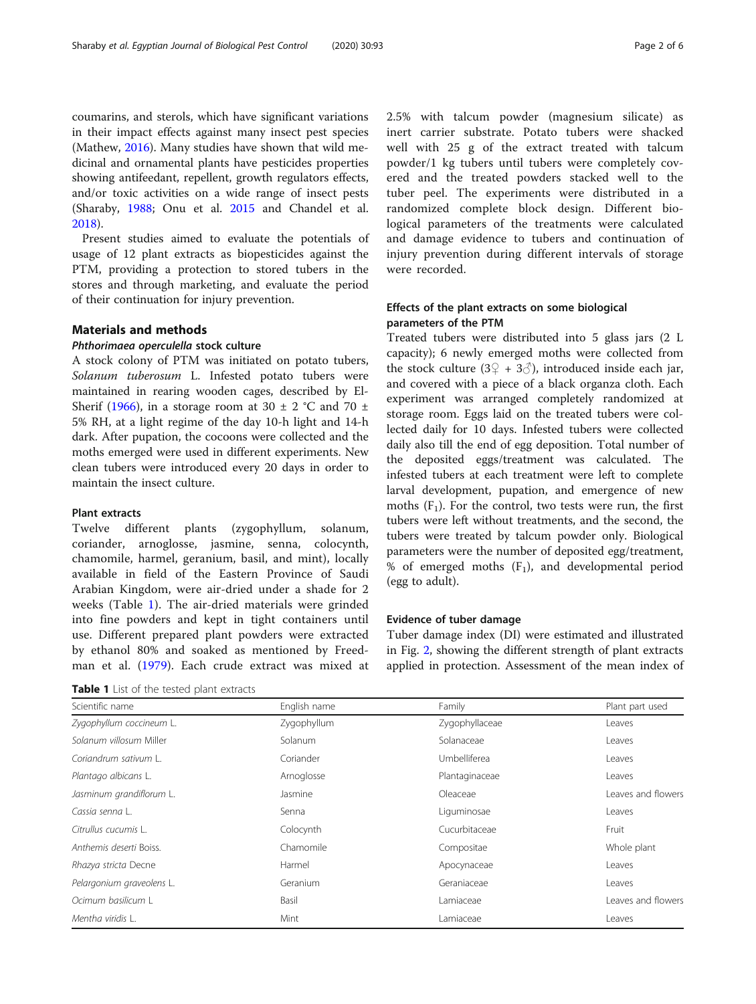coumarins, and sterols, which have significant variations in their impact effects against many insect pest species (Mathew, [2016\)](#page-5-0). Many studies have shown that wild medicinal and ornamental plants have pesticides properties showing antifeedant, repellent, growth regulators effects, and/or toxic activities on a wide range of insect pests (Sharaby, [1988;](#page-5-0) Onu et al. [2015](#page-5-0) and Chandel et al. [2018](#page-5-0)).

Present studies aimed to evaluate the potentials of usage of 12 plant extracts as biopesticides against the PTM, providing a protection to stored tubers in the stores and through marketing, and evaluate the period of their continuation for injury prevention.

# Materials and methods

# Phthorimaea operculella stock culture

A stock colony of PTM was initiated on potato tubers, Solanum tuberosum L. Infested potato tubers were maintained in rearing wooden cages, described by El-Sherif ([1966](#page-5-0)), in a storage room at 30  $\pm$  2 °C and 70  $\pm$ 5% RH, at a light regime of the day 10-h light and 14-h dark. After pupation, the cocoons were collected and the moths emerged were used in different experiments. New clean tubers were introduced every 20 days in order to maintain the insect culture.

# Plant extracts

Twelve different plants (zygophyllum, solanum, coriander, arnoglosse, jasmine, senna, colocynth, chamomile, harmel, geranium, basil, and mint), locally available in field of the Eastern Province of Saudi Arabian Kingdom, were air-dried under a shade for 2 weeks (Table 1). The air-dried materials were grinded into fine powders and kept in tight containers until use. Different prepared plant powders were extracted by ethanol 80% and soaked as mentioned by Freedman et al. ([1979\)](#page-5-0). Each crude extract was mixed at

Table 1 List of the tested plant extracts

2.5% with talcum powder (magnesium silicate) as inert carrier substrate. Potato tubers were shacked well with 25 g of the extract treated with talcum powder/1 kg tubers until tubers were completely covered and the treated powders stacked well to the tuber peel. The experiments were distributed in a randomized complete block design. Different biological parameters of the treatments were calculated and damage evidence to tubers and continuation of injury prevention during different intervals of storage were recorded.

# Effects of the plant extracts on some biological parameters of the PTM

Treated tubers were distributed into 5 glass jars (2 L capacity); 6 newly emerged moths were collected from the stock culture (3♀ + 3♂), introduced inside each jar, and covered with a piece of a black organza cloth. Each experiment was arranged completely randomized at storage room. Eggs laid on the treated tubers were collected daily for 10 days. Infested tubers were collected daily also till the end of egg deposition. Total number of the deposited eggs/treatment was calculated. The infested tubers at each treatment were left to complete larval development, pupation, and emergence of new moths  $(F_1)$ . For the control, two tests were run, the first tubers were left without treatments, and the second, the tubers were treated by talcum powder only. Biological parameters were the number of deposited egg/treatment, % of emerged moths  $(F_1)$ , and developmental period (egg to adult).

# Evidence of tuber damage

Tuber damage index (DI) were estimated and illustrated in Fig. [2,](#page-3-0) showing the different strength of plant extracts applied in protection. Assessment of the mean index of

| Scientific name           | English name | Family         | Plant part used    |  |  |  |  |
|---------------------------|--------------|----------------|--------------------|--|--|--|--|
| Zygophyllum coccineum L.  | Zygophyllum  | Zygophyllaceae | Leaves             |  |  |  |  |
| Solanum villosum Miller   | Solanum      | Solanaceae     | Leaves             |  |  |  |  |
| Coriandrum sativum L.     | Coriander    | Umbelliferea   | Leaves             |  |  |  |  |
| Plantago albicans L.      | Arnoglosse   | Plantaginaceae | Leaves             |  |  |  |  |
| Jasminum grandiflorum L.  | Jasmine      | Oleaceae       | Leaves and flowers |  |  |  |  |
| Cassia senna L.           | Senna        | Liguminosae    | Leaves             |  |  |  |  |
| Citrullus cucumis L.      | Colocynth    | Cucurbitaceae  | Fruit              |  |  |  |  |
| Anthemis deserti Boiss.   | Chamomile    | Compositae     | Whole plant        |  |  |  |  |
| Rhazya stricta Decne      | Harmel       | Apocynaceae    | Leaves             |  |  |  |  |
| Pelargonium graveolens L. | Geranium     | Geraniaceae    | Leaves             |  |  |  |  |
| Ocimum basilicum L        | Basil        | Lamiaceae      | Leaves and flowers |  |  |  |  |
| Mentha viridis L.         | Mint         | Lamiaceae      | Leaves             |  |  |  |  |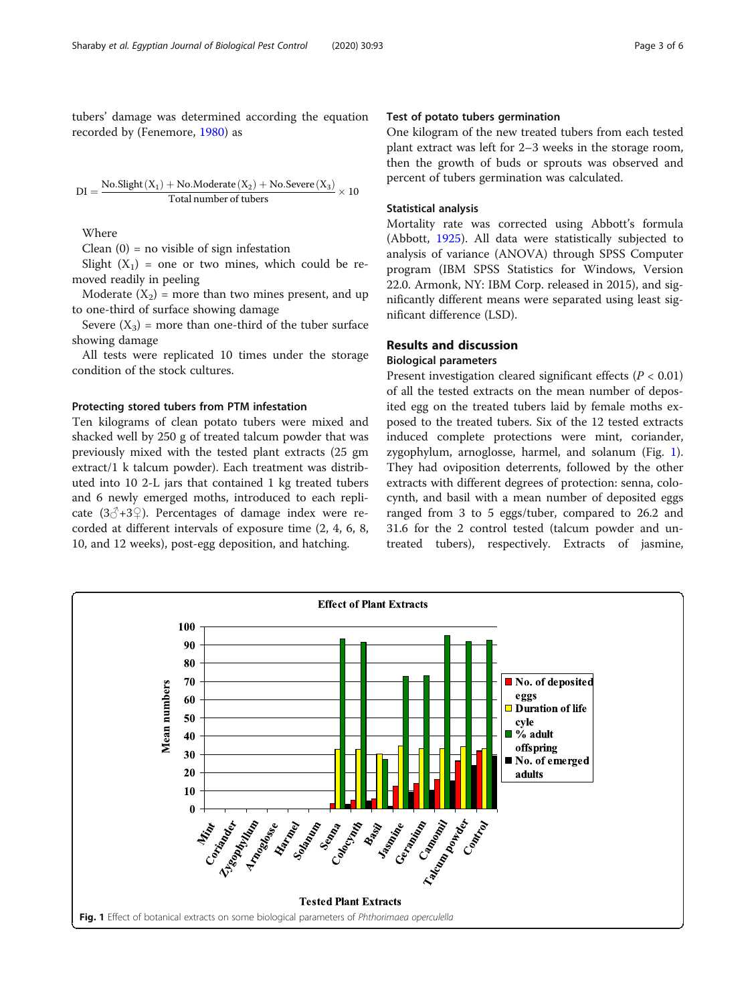<span id="page-2-0"></span>tubers' damage was determined according the equation recorded by (Fenemore, [1980\)](#page-5-0) as

$$
DI = \frac{No.Slight(X_1) + No.Moderate(X_2) + No.Severe(X_3)}{Total number of tubes} \times 10
$$

Where

Clean  $(0)$  = no visible of sign infestation

Slight  $(X_1)$  = one or two mines, which could be removed readily in peeling

Moderate  $(X_2)$  = more than two mines present, and up to one-third of surface showing damage

Severe  $(X_3)$  = more than one-third of the tuber surface showing damage

All tests were replicated 10 times under the storage condition of the stock cultures.

# Protecting stored tubers from PTM infestation

Ten kilograms of clean potato tubers were mixed and shacked well by 250 g of treated talcum powder that was previously mixed with the tested plant extracts (25 gm extract/1 k talcum powder). Each treatment was distributed into 10 2-L jars that contained 1 kg treated tubers and 6 newly emerged moths, introduced to each replicate ( $3\textcircled{3}+3\textcircled{2}$ ). Percentages of damage index were recorded at different intervals of exposure time (2, 4, 6, 8, 10, and 12 weeks), post-egg deposition, and hatching.

# Test of potato tubers germination

One kilogram of the new treated tubers from each tested plant extract was left for 2–3 weeks in the storage room, then the growth of buds or sprouts was observed and percent of tubers germination was calculated.

# Statistical analysis

Mortality rate was corrected using Abbott's formula (Abbott, [1925](#page-5-0)). All data were statistically subjected to analysis of variance (ANOVA) through SPSS Computer program (IBM SPSS Statistics for Windows, Version 22.0. Armonk, NY: IBM Corp. released in 2015), and significantly different means were separated using least significant difference (LSD).

# Results and discussion

#### Biological parameters

Present investigation cleared significant effects ( $P < 0.01$ ) of all the tested extracts on the mean number of deposited egg on the treated tubers laid by female moths exposed to the treated tubers. Six of the 12 tested extracts induced complete protections were mint, coriander, zygophylum, arnoglosse, harmel, and solanum (Fig. 1). They had oviposition deterrents, followed by the other extracts with different degrees of protection: senna, colocynth, and basil with a mean number of deposited eggs ranged from 3 to 5 eggs/tuber, compared to 26.2 and 31.6 for the 2 control tested (talcum powder and untreated tubers), respectively. Extracts of jasmine,

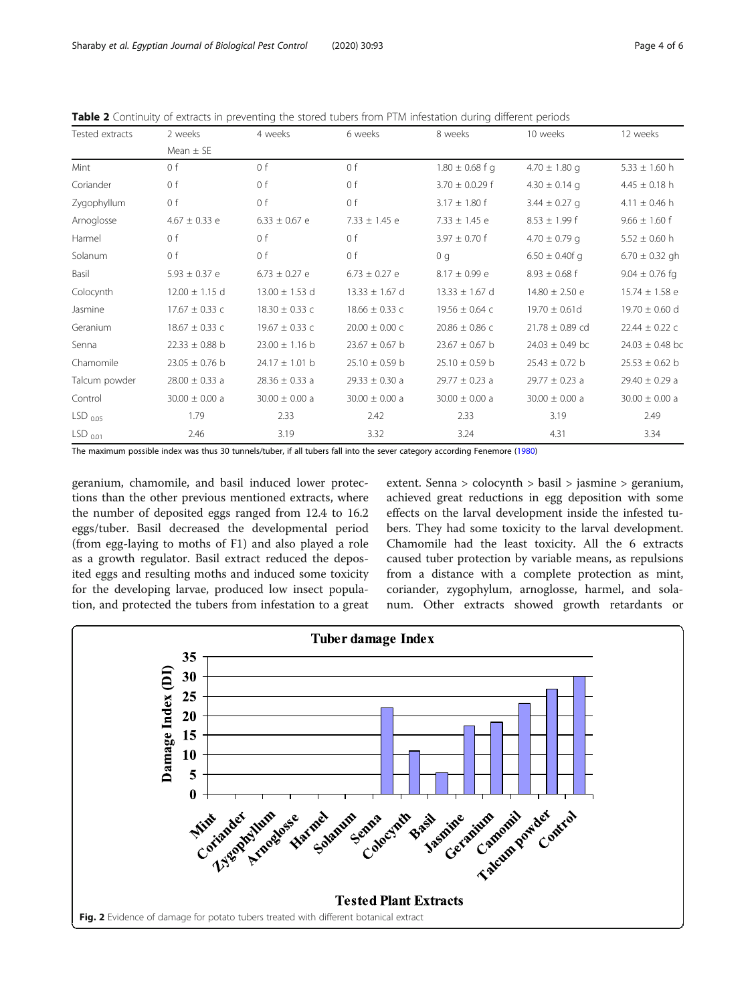| Tested extracts     | 2 weeks            | 4 weeks            | 6 weeks            | 8 weeks             | 10 weeks            | 12 weeks            |  |  |
|---------------------|--------------------|--------------------|--------------------|---------------------|---------------------|---------------------|--|--|
|                     | Mean $\pm$ SE      |                    |                    |                     |                     |                     |  |  |
| Mint                | 0 f                | 0 f                | 0 f                | $1.80 \pm 0.68$ f g | $4.70 \pm 1.80$ g   | $5.33 \pm 1.60$ h   |  |  |
| Coriander           | 0 f                | 0 f                | 0 f                | $3.70 \pm 0.0.29$ f | $4.30 \pm 0.14$ g   | $4.45 \pm 0.18$ h   |  |  |
| Zygophyllum         | 0 f                | 0 f                | 0 f                | $3.17 \pm 1.80$ f   | $3.44 \pm 0.27$ g   | $4.11 \pm 0.46$ h   |  |  |
| Arnoglosse          | $4.67 \pm 0.33$ e  | $6.33 \pm 0.67$ e  | $7.33 \pm 1.45$ e  | $7.33 \pm 1.45$ e   | $8.53 \pm 1.99$ f   | $9.66 \pm 1.60$ f   |  |  |
| Harmel              | 0 f                | 0 f                | 0 f                | $3.97 \pm 0.70$ f   | $4.70 \pm 0.79$ q   | $5.52 \pm 0.60$ h   |  |  |
| Solanum             | 0 f                | 0 f                | 0 <sub>f</sub>     | 0 <sub>q</sub>      | $6.50 \pm 0.40f$ q  | $6.70 \pm 0.32$ gh  |  |  |
| Basil               | $5.93 \pm 0.37$ e  | $6.73 \pm 0.27$ e  | $6.73 \pm 0.27$ e  | $8.17 \pm 0.99$ e   | $8.93 \pm 0.68$ f   | $9.04 \pm 0.76$ fg  |  |  |
| Colocynth           | $12.00 \pm 1.15$ d | $13.00 \pm 1.53$ d | $13.33 \pm 1.67$ d | $13.33 \pm 1.67$ d  | $14.80 \pm 2.50$ e  | $15.74 \pm 1.58$ e  |  |  |
| Jasmine             | $17.67 \pm 0.33$ c | $18.30 \pm 0.33$ c | $18.66 \pm 0.33$ c | $19.56 \pm 0.64$ c  | $19.70 \pm 0.61d$   | $19.70 \pm 0.60$ d  |  |  |
| Geranium            | $18.67 \pm 0.33$ c | $19.67 \pm 0.33$ c | $20.00 \pm 0.00$ c | $20.86 \pm 0.86$ C  | $21.78 \pm 0.89$ cd | $22.44 \pm 0.22$ c  |  |  |
| Senna               | $22.33 \pm 0.88$ b | $23.00 \pm 1.16$ b | $23.67 \pm 0.67$ b | $23.67 \pm 0.67$ b  | $24.03 \pm 0.49$ bc | $24.03 \pm 0.48$ bc |  |  |
| Chamomile           | $23.05 \pm 0.76$ b | $24.17 \pm 1.01$ b | $25.10 \pm 0.59$ b | $25.10 \pm 0.59$ b  | $25.43 \pm 0.72$ b  | $25.53 \pm 0.62$ b  |  |  |
| Talcum powder       | $28.00 \pm 0.33$ a | $28.36 \pm 0.33$ a | $29.33 \pm 0.30$ a | $29.77 \pm 0.23$ a  | $29.77 \pm 0.23$ a  | $29.40 \pm 0.29$ a  |  |  |
| Control             | $30.00 \pm 0.00$ a | $30.00 \pm 0.00$ a | $30.00 \pm 0.00$ a | $30.00 \pm 0.00$ a  | $30.00 \pm 0.00$ a  | $30.00 \pm 0.00$ a  |  |  |
| $LSD_{0.05}$        | 1.79               | 2.33               | 2.42               | 2.33                | 3.19                | 2.49                |  |  |
| LSD <sub>0.01</sub> | 2.46               | 3.19               | 3.32               | 3.24                | 4.31                | 3.34                |  |  |

<span id="page-3-0"></span>Table 2 Continuity of extracts in preventing the stored tubers from PTM infestation during different periods

The maximum possible index was thus 30 tunnels/tuber, if all tubers fall into the sever category according Fenemore [\(1980\)](#page-5-0)

geranium, chamomile, and basil induced lower protections than the other previous mentioned extracts, where the number of deposited eggs ranged from 12.4 to 16.2 eggs/tuber. Basil decreased the developmental period (from egg-laying to moths of F1) and also played a role as a growth regulator. Basil extract reduced the deposited eggs and resulting moths and induced some toxicity for the developing larvae, produced low insect population, and protected the tubers from infestation to a great extent. Senna > colocynth > basil > jasmine > geranium, achieved great reductions in egg deposition with some effects on the larval development inside the infested tubers. They had some toxicity to the larval development. Chamomile had the least toxicity. All the 6 extracts caused tuber protection by variable means, as repulsions from a distance with a complete protection as mint, coriander, zygophylum, arnoglosse, harmel, and solanum. Other extracts showed growth retardants or

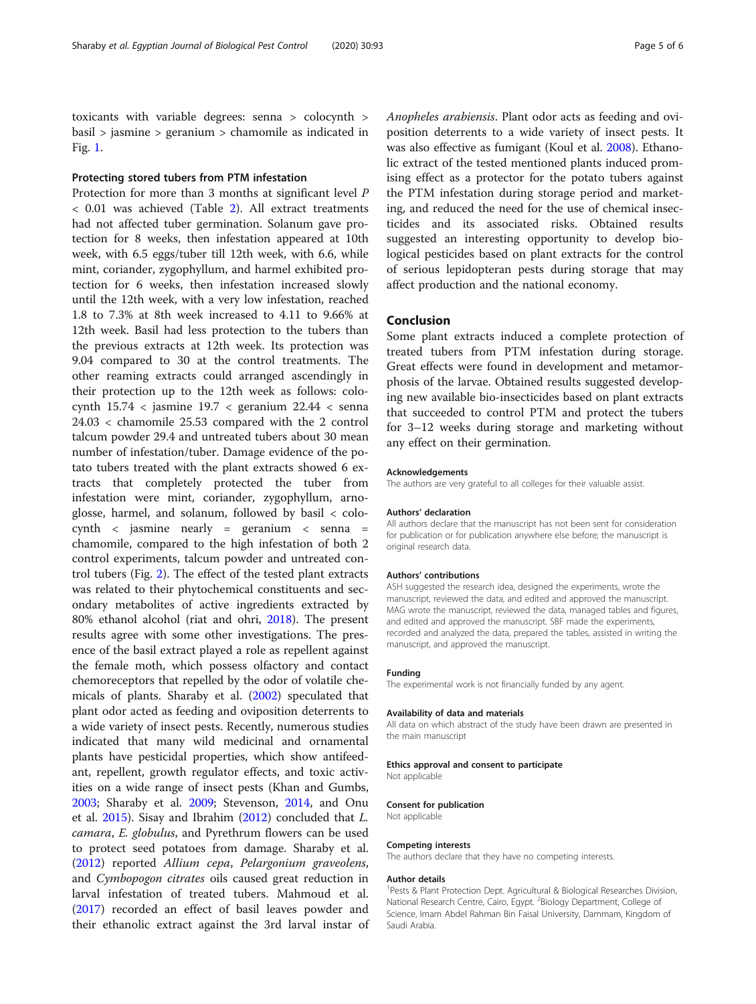toxicants with variable degrees: senna > colocynth > basil > jasmine > geranium > chamomile as indicated in Fig. [1](#page-2-0).

# Protecting stored tubers from PTM infestation

Protection for more than 3 months at significant level P < 0.01 was achieved (Table [2\)](#page-3-0). All extract treatments had not affected tuber germination. Solanum gave protection for 8 weeks, then infestation appeared at 10th week, with 6.5 eggs/tuber till 12th week, with 6.6, while mint, coriander, zygophyllum, and harmel exhibited protection for 6 weeks, then infestation increased slowly until the 12th week, with a very low infestation, reached 1.8 to 7.3% at 8th week increased to 4.11 to 9.66% at 12th week. Basil had less protection to the tubers than the previous extracts at 12th week. Its protection was 9.04 compared to 30 at the control treatments. The other reaming extracts could arranged ascendingly in their protection up to the 12th week as follows: colocynth  $15.74 <$  jasmine  $19.7 <$  geranium  $22.44 <$  senna 24.03 < chamomile 25.53 compared with the 2 control talcum powder 29.4 and untreated tubers about 30 mean number of infestation/tuber. Damage evidence of the potato tubers treated with the plant extracts showed 6 extracts that completely protected the tuber from infestation were mint, coriander, zygophyllum, arnoglosse, harmel, and solanum, followed by basil < colocynth < jasmine nearly = geranium < senna = chamomile, compared to the high infestation of both 2 control experiments, talcum powder and untreated control tubers (Fig. [2](#page-3-0)). The effect of the tested plant extracts was related to their phytochemical constituents and secondary metabolites of active ingredients extracted by 80% ethanol alcohol (riat and ohri, [2018](#page-5-0)). The present results agree with some other investigations. The presence of the basil extract played a role as repellent against the female moth, which possess olfactory and contact chemoreceptors that repelled by the odor of volatile chemicals of plants. Sharaby et al. ([2002\)](#page-5-0) speculated that plant odor acted as feeding and oviposition deterrents to a wide variety of insect pests. Recently, numerous studies indicated that many wild medicinal and ornamental plants have pesticidal properties, which show antifeedant, repellent, growth regulator effects, and toxic activities on a wide range of insect pests (Khan and Gumbs, [2003](#page-5-0); Sharaby et al. [2009](#page-5-0); Stevenson, [2014](#page-5-0), and Onu et al. [2015](#page-5-0)). Sisay and Ibrahim [\(2012\)](#page-5-0) concluded that L. camara, E. globulus, and Pyrethrum flowers can be used to protect seed potatoes from damage. Sharaby et al. ([2012](#page-5-0)) reported Allium cepa, Pelargonium graveolens, and Cymbopogon citrates oils caused great reduction in larval infestation of treated tubers. Mahmoud et al. ([2017](#page-5-0)) recorded an effect of basil leaves powder and their ethanolic extract against the 3rd larval instar of Anopheles arabiensis. Plant odor acts as feeding and oviposition deterrents to a wide variety of insect pests. It was also effective as fumigant (Koul et al. [2008\)](#page-5-0). Ethanolic extract of the tested mentioned plants induced promising effect as a protector for the potato tubers against the PTM infestation during storage period and marketing, and reduced the need for the use of chemical insecticides and its associated risks. Obtained results suggested an interesting opportunity to develop biological pesticides based on plant extracts for the control of serious lepidopteran pests during storage that may affect production and the national economy.

# Conclusion

Some plant extracts induced a complete protection of treated tubers from PTM infestation during storage. Great effects were found in development and metamorphosis of the larvae. Obtained results suggested developing new available bio-insecticides based on plant extracts that succeeded to control PTM and protect the tubers for 3–12 weeks during storage and marketing without any effect on their germination.

#### Acknowledgements

The authors are very grateful to all colleges for their valuable assist.

#### Authors' declaration

All authors declare that the manuscript has not been sent for consideration for publication or for publication anywhere else before; the manuscript is original research data.

#### Authors' contributions

ASH suggested the research idea, designed the experiments, wrote the manuscript, reviewed the data, and edited and approved the manuscript. MAG wrote the manuscript, reviewed the data, managed tables and figures, and edited and approved the manuscript. SBF made the experiments, recorded and analyzed the data, prepared the tables, assisted in writing the manuscript, and approved the manuscript.

#### Funding

The experimental work is not financially funded by any agent.

#### Availability of data and materials

All data on which abstract of the study have been drawn are presented in the main manuscript

#### Ethics approval and consent to participate

Not applicable

#### Consent for publication

Not applicable

#### Competing interests

The authors declare that they have no competing interests.

#### Author details

<sup>1</sup> Pests & Plant Protection Dept. Agricultural & Biological Researches Division, National Research Centre, Cairo, Egypt. <sup>2</sup>Biology Department, College of Science, Imam Abdel Rahman Bin Faisal University, Dammam, Kingdom of Saudi Arabia.